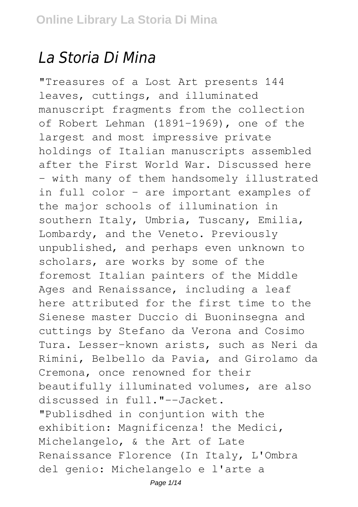## *La Storia Di Mina*

"Treasures of a Lost Art presents 144 leaves, cuttings, and illuminated manuscript fragments from the collection of Robert Lehman (1891-1969), one of the largest and most impressive private holdings of Italian manuscripts assembled after the First World War. Discussed here - with many of them handsomely illustrated in full color - are important examples of the major schools of illumination in southern Italy, Umbria, Tuscany, Emilia, Lombardy, and the Veneto. Previously unpublished, and perhaps even unknown to scholars, are works by some of the foremost Italian painters of the Middle Ages and Renaissance, including a leaf here attributed for the first time to the Sienese master Duccio di Buoninsegna and cuttings by Stefano da Verona and Cosimo Tura. Lesser-known arists, such as Neri da Rimini, Belbello da Pavia, and Girolamo da Cremona, once renowned for their beautifully illuminated volumes, are also discussed in full."--Jacket. "Publisdhed in conjuntion with the exhibition: Magnificenza! the Medici, Michelangelo, & the Art of Late Renaissance Florence (In Italy, L'Ombra del genio: Michelangelo e l'arte a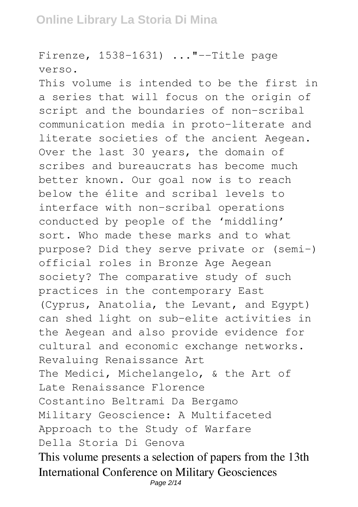## **Online Library La Storia Di Mina**

Firenze, 1538-1631) ..."--Title page verso.

This volume is intended to be the first in a series that will focus on the origin of script and the boundaries of non-scribal communication media in proto-literate and literate societies of the ancient Aegean. Over the last 30 years, the domain of scribes and bureaucrats has become much better known. Our goal now is to reach below the élite and scribal levels to interface with non-scribal operations conducted by people of the 'middling' sort. Who made these marks and to what purpose? Did they serve private or (semi-) official roles in Bronze Age Aegean society? The comparative study of such practices in the contemporary East (Cyprus, Anatolia, the Levant, and Egypt) can shed light on sub-elite activities in the Aegean and also provide evidence for cultural and economic exchange networks. Revaluing Renaissance Art The Medici, Michelangelo, & the Art of Late Renaissance Florence Costantino Beltrami Da Bergamo Military Geoscience: A Multifaceted Approach to the Study of Warfare Della Storia Di Genova This volume presents a selection of papers from the 13th International Conference on Military Geosciences Page 2/14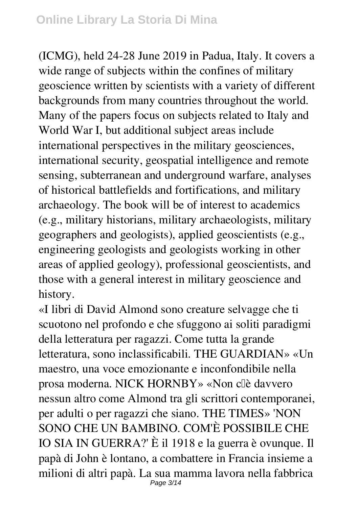(ICMG), held 24-28 June 2019 in Padua, Italy. It covers a wide range of subjects within the confines of military geoscience written by scientists with a variety of different backgrounds from many countries throughout the world. Many of the papers focus on subjects related to Italy and World War I, but additional subject areas include international perspectives in the military geosciences, international security, geospatial intelligence and remote sensing, subterranean and underground warfare, analyses of historical battlefields and fortifications, and military archaeology. The book will be of interest to academics (e.g., military historians, military archaeologists, military geographers and geologists), applied geoscientists (e.g., engineering geologists and geologists working in other areas of applied geology), professional geoscientists, and those with a general interest in military geoscience and history.

«I libri di David Almond sono creature selvagge che ti scuotono nel profondo e che sfuggono ai soliti paradigmi della letteratura per ragazzi. Come tutta la grande letteratura, sono inclassificabili. THE GUARDIAN» «Un maestro, una voce emozionante e inconfondibile nella prosa moderna. NICK HORNBY» «Non c'è davvero nessun altro come Almond tra gli scrittori contemporanei, per adulti o per ragazzi che siano. THE TIMES» 'NON SONO CHE UN BAMBINO. COM'È POSSIBILE CHE IO SIA IN GUERRA?' È il 1918 e la guerra è ovunque. Il papà di John è lontano, a combattere in Francia insieme a milioni di altri papà. La sua mamma lavora nella fabbrica Page 3/14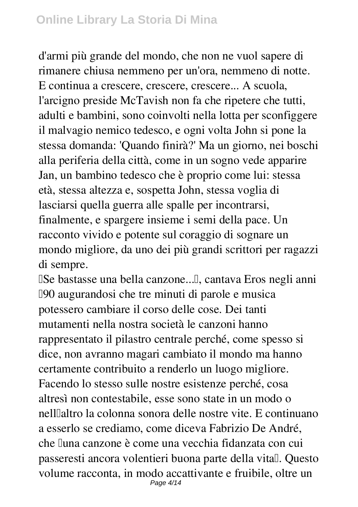d'armi più grande del mondo, che non ne vuol sapere di rimanere chiusa nemmeno per un'ora, nemmeno di notte. E continua a crescere, crescere, crescere... A scuola, l'arcigno preside McTavish non fa che ripetere che tutti, adulti e bambini, sono coinvolti nella lotta per sconfiggere il malvagio nemico tedesco, e ogni volta John si pone la stessa domanda: 'Quando finirà?' Ma un giorno, nei boschi alla periferia della città, come in un sogno vede apparire Jan, un bambino tedesco che è proprio come lui: stessa età, stessa altezza e, sospetta John, stessa voglia di lasciarsi quella guerra alle spalle per incontrarsi, finalmente, e spargere insieme i semi della pace. Un racconto vivido e potente sul coraggio di sognare un mondo migliore, da uno dei più grandi scrittori per ragazzi di sempre.

'Se bastasse una bella canzone...', cantava Eros negli anni '90 augurandosi che tre minuti di parole e musica potessero cambiare il corso delle cose. Dei tanti mutamenti nella nostra società le canzoni hanno rappresentato il pilastro centrale perché, come spesso si dice, non avranno magari cambiato il mondo ma hanno certamente contribuito a renderlo un luogo migliore. Facendo lo stesso sulle nostre esistenze perché, cosa altresì non contestabile, esse sono state in un modo o nell'altro la colonna sonora delle nostre vite. E continuano a esserlo se crediamo, come diceva Fabrizio De André, che 'una canzone è come una vecchia fidanzata con cui passeresti ancora volentieri buona parte della vital. Questo volume racconta, in modo accattivante e fruibile, oltre un Page 4/14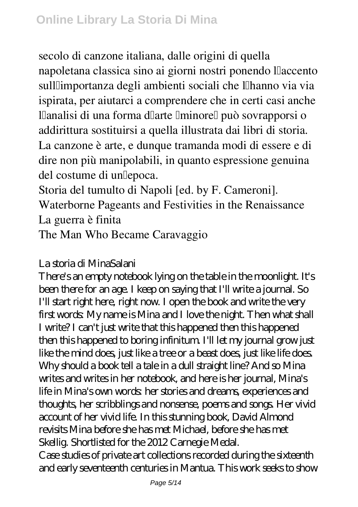secolo di canzone italiana, dalle origini di quella napoletana classica sino ai giorni nostri ponendo l'accento sull'importanza degli ambienti sociali che l'hanno via via ispirata, per aiutarci a comprendere che in certi casi anche llanalisi di una forma dlarte lminorell può sovrapporsi o addirittura sostituirsi a quella illustrata dai libri di storia. La canzone è arte, e dunque tramanda modi di essere e di dire non più manipolabili, in quanto espressione genuina del costume di unllepoca.

Storia del tumulto di Napoli [ed. by F. Cameroni].

Waterborne Pageants and Festivities in the Renaissance La guerra è finita

The Man Who Became Caravaggio

## La storia di MinaSalani

There's an empty notebook lying on the table in the moonlight. It's been there for an age. I keep on saying that I'll write a journal. So I'll start right here, right now. I open the book and write the very first words: My name is Mina and I love the night. Then what shall I write? I can't just write that this happened then this happened then this happened to boring infinitum. I'll let my journal grow just like the mind does, just like a tree or a beast does, just like life does. Why should a book tell a tale in a dull straight line? And so Mina writes and writes in her notebook, and here is her journal, Mina's life in Mina's own words: her stories and dreams, experiences and thoughts, her scribblings and nonsense, poems and songs. Her vivid account of her vivid life. In this stunning book, David Almond revisits Mina before she has met Michael, before she has met Skellig. Shortlisted for the 2012 Carnegie Medal. Case studies of private art collections recorded during the sixteenth and early seventeenth centuries in Mantua. This work seeks to show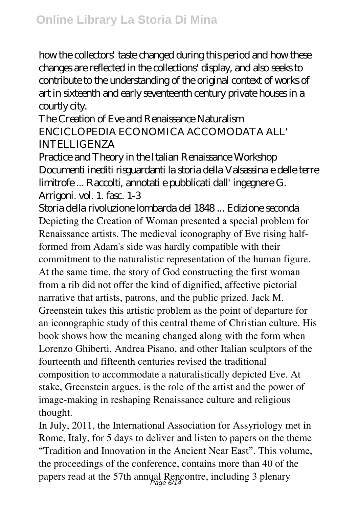how the collectors' taste changed during this period and how these changes are reflected in the collections' display, and also seeks to contribute to the understanding of the original context of works of art in sixteenth and early seventeenth century private houses in a courtly city.

The Creation of Eve and Renaissance Naturalism ENCICLOPEDIA ECONOMICA ACCOMODATA ALL' INTELLIGENZA

Practice and Theory in the Italian Renaissance Workshop Documenti inediti risguardanti la storia della Valsassina e delle terre limitrofe ... Raccolti, annotati e pubblicati dall' ingegnere G. Arrigoni. vol. 1. fasc. 1-3

Storia della rivoluzione lombarda del 1848 ... Edizione seconda Depicting the Creation of Woman presented a special problem for Renaissance artists. The medieval iconography of Eve rising halfformed from Adam's side was hardly compatible with their commitment to the naturalistic representation of the human figure. At the same time, the story of God constructing the first woman from a rib did not offer the kind of dignified, affective pictorial narrative that artists, patrons, and the public prized. Jack M. Greenstein takes this artistic problem as the point of departure for an iconographic study of this central theme of Christian culture. His book shows how the meaning changed along with the form when Lorenzo Ghiberti, Andrea Pisano, and other Italian sculptors of the fourteenth and fifteenth centuries revised the traditional composition to accommodate a naturalistically depicted Eve. At stake, Greenstein argues, is the role of the artist and the power of image-making in reshaping Renaissance culture and religious thought.

In July, 2011, the International Association for Assyriology met in Rome, Italy, for 5 days to deliver and listen to papers on the theme "Tradition and Innovation in the Ancient Near East". This volume, the proceedings of the conference, contains more than 40 of the papers read at the 57th annual Rencontre, including 3 plenary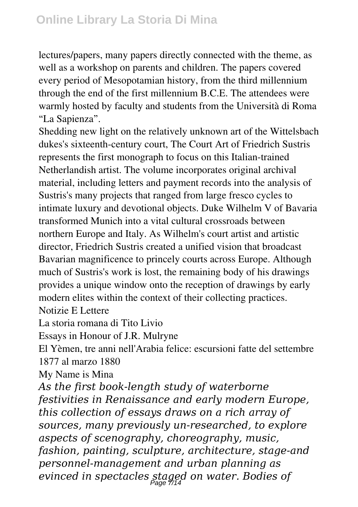lectures/papers, many papers directly connected with the theme, as well as a workshop on parents and children. The papers covered every period of Mesopotamian history, from the third millennium through the end of the first millennium B.C.E. The attendees were warmly hosted by faculty and students from the Università di Roma "La Sapienza".

Shedding new light on the relatively unknown art of the Wittelsbach dukes's sixteenth-century court, The Court Art of Friedrich Sustris represents the first monograph to focus on this Italian-trained Netherlandish artist. The volume incorporates original archival material, including letters and payment records into the analysis of Sustris's many projects that ranged from large fresco cycles to intimate luxury and devotional objects. Duke Wilhelm V of Bavaria transformed Munich into a vital cultural crossroads between northern Europe and Italy. As Wilhelm's court artist and artistic director, Friedrich Sustris created a unified vision that broadcast Bavarian magnificence to princely courts across Europe. Although much of Sustris's work is lost, the remaining body of his drawings provides a unique window onto the reception of drawings by early modern elites within the context of their collecting practices.

Notizie E Lettere

La storia romana di Tito Livio

Essays in Honour of J.R. Mulryne

El Yèmen, tre anni nell'Arabia felice: escursioni fatte del settembre 1877 al marzo 1880

My Name is Mina

*As the first book-length study of waterborne festivities in Renaissance and early modern Europe, this collection of essays draws on a rich array of sources, many previously un-researched, to explore aspects of scenography, choreography, music, fashion, painting, sculpture, architecture, stage-and personnel-management and urban planning as evinced in spectacles staged on water. Bodies of* Page 7/14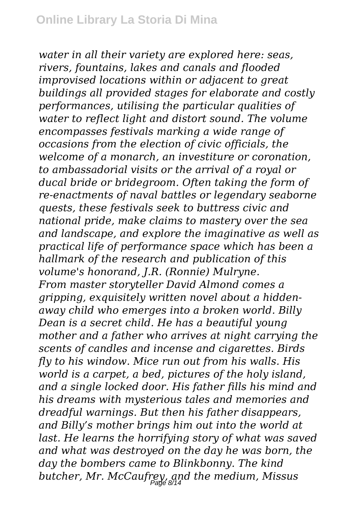*water in all their variety are explored here: seas, rivers, fountains, lakes and canals and flooded improvised locations within or adjacent to great buildings all provided stages for elaborate and costly performances, utilising the particular qualities of water to reflect light and distort sound. The volume encompasses festivals marking a wide range of occasions from the election of civic officials, the welcome of a monarch, an investiture or coronation, to ambassadorial visits or the arrival of a royal or ducal bride or bridegroom. Often taking the form of re-enactments of naval battles or legendary seaborne quests, these festivals seek to buttress civic and national pride, make claims to mastery over the sea and landscape, and explore the imaginative as well as practical life of performance space which has been a hallmark of the research and publication of this volume's honorand, J.R. (Ronnie) Mulryne. From master storyteller David Almond comes a gripping, exquisitely written novel about a hiddenaway child who emerges into a broken world. Billy Dean is a secret child. He has a beautiful young mother and a father who arrives at night carrying the scents of candles and incense and cigarettes. Birds fly to his window. Mice run out from his walls. His world is a carpet, a bed, pictures of the holy island, and a single locked door. His father fills his mind and his dreams with mysterious tales and memories and dreadful warnings. But then his father disappears, and Billy's mother brings him out into the world at last. He learns the horrifying story of what was saved and what was destroyed on the day he was born, the day the bombers came to Blinkbonny. The kind butcher, Mr. McCaufrey, and the medium, Missus* Page 8/14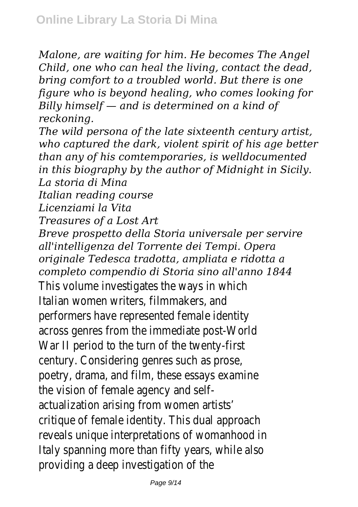*Malone, are waiting for him. He becomes The Angel Child, one who can heal the living, contact the dead, bring comfort to a troubled world. But there is one figure who is beyond healing, who comes looking for Billy himself — and is determined on a kind of reckoning.*

*The wild persona of the late sixteenth century artist, who captured the dark, violent spirit of his age better than any of his comtemporaries, is welldocumented in this biography by the author of Midnight in Sicily. La storia di Mina*

*Italian reading course*

*Licenziami la Vita*

*Treasures of a Lost Art*

*Breve prospetto della Storia universale per servire all'intelligenza del Torrente dei Tempi. Opera originale Tedesca tradotta, ampliata e ridotta a completo compendio di Storia sino all'anno 1844* This volume investigates the ways in which Italian women writers, filmmakers, and performers have represented female identity across genres from the immediate post-World War II period to the turn of the twenty-first century. Considering genres such as prose, poetry, drama, and film, these essays examine the vision of female agency and selfactualization arising from women artists' critique of female identity. This dual approach reveals unique interpretations of womanhood in Italy spanning more than fifty years, while also providing a deep investigation of the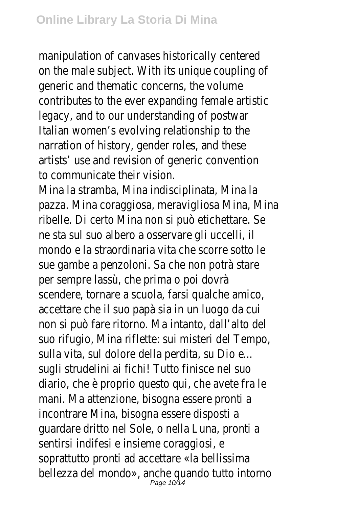manipulation of canvases historically centered on the male subject. With its unique coupling of generic and thematic concerns, the volume contributes to the ever expanding female artistic legacy, and to our understanding of postwar Italian women's evolving relationship to the narration of history, gender roles, and these artists' use and revision of generic convention to communicate their vision.

Mina la stramba, Mina indisciplinata, Mina la pazza. Mina coraggiosa, meravigliosa Mina, Mina ribelle. Di certo Mina non si può etichettare. Se ne sta sul suo albero a osservare gli uccelli, il mondo e la straordinaria vita che scorre sotto le sue gambe a penzoloni. Sa che non potrà stare per sempre lassù, che prima o poi dovrà scendere, tornare a scuola, farsi qualche amico, accettare che il suo papà sia in un luogo da cui non si può fare ritorno. Ma intanto, dall'alto del suo rifugio, Mina riflette: sui misteri del Tempo, sulla vita, sul dolore della perdita, su Dio e... sugli strudelini ai fichi! Tutto finisce nel suo diario, che è proprio questo qui, che avete fra le mani. Ma attenzione, bisogna essere pronti a incontrare Mina, bisogna essere disposti a guardare dritto nel Sole, o nella Luna, pronti a sentirsi indifesi e insieme coraggiosi, e soprattutto pronti ad accettare «la bellissima bellezza del mondo», anche quando tutto intorno Page 10/14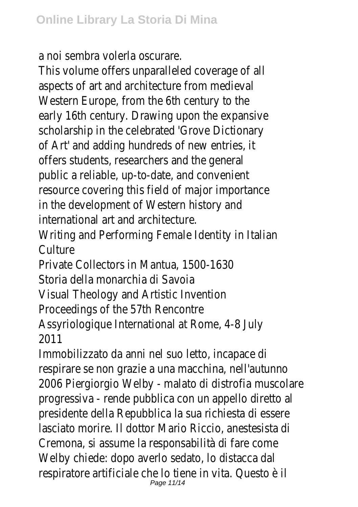a noi sembra volerla oscurare.

This volume offers unparalleled coverage of all aspects of art and architecture from medieval Western Europe, from the 6th century to the early 16th century. Drawing upon the expansive scholarship in the celebrated 'Grove Dictionary of Art' and adding hundreds of new entries, it offers students, researchers and the general public a reliable, up-to-date, and convenient resource covering this field of major importance in the development of Western history and international art and architecture.

Writing and Performing Female Identity in Italian **Culture** 

Private Collectors in Mantua, 1500-1630 Storia della monarchia di Savoia

Visual Theology and Artistic Invention

Proceedings of the 57th Rencontre

Assyriologique International at Rome, 4-8 July 2011

Immobilizzato da anni nel suo letto, incapace di respirare se non grazie a una macchina, nell'autunno 2006 Piergiorgio Welby - malato di distrofia muscolare progressiva - rende pubblica con un appello diretto al presidente della Repubblica la sua richiesta di essere lasciato morire. Il dottor Mario Riccio, anestesista di Cremona, si assume la responsabilità di fare come Welby chiede: dopo averlo sedato, lo distacca dal respiratore artificiale che lo tiene in vita. Questo è il Page 11/14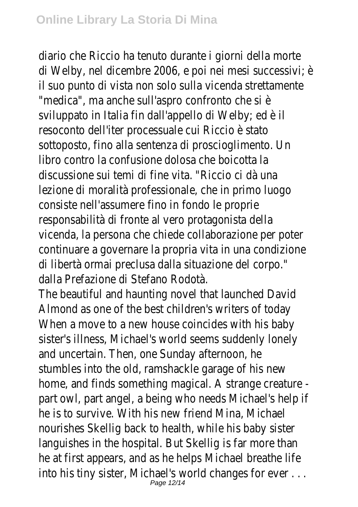diario che Riccio ha tenuto durante i giorni della morte di Welby, nel dicembre 2006, e poi nei mesi successivi; è il suo punto di vista non solo sulla vicenda strettamente "medica", ma anche sull'aspro confronto che si è sviluppato in Italia fin dall'appello di Welby; ed è il resoconto dell'iter processuale cui Riccio è stato sottoposto, fino alla sentenza di proscioglimento. Un libro contro la confusione dolosa che boicotta la discussione sui temi di fine vita. "Riccio ci dà una lezione di moralità professionale, che in primo luogo consiste nell'assumere fino in fondo le proprie responsabilità di fronte al vero protagonista della vicenda, la persona che chiede collaborazione per poter continuare a governare la propria vita in una condizione di libertà ormai preclusa dalla situazione del corpo." dalla Prefazione di Stefano Rodotà.

The beautiful and haunting novel that launched David Almond as one of the best children's writers of today When a move to a new house coincides with his baby sister's illness, Michael's world seems suddenly lonely and uncertain. Then, one Sunday afternoon, he stumbles into the old, ramshackle garage of his new home, and finds something magical. A strange creature part owl, part angel, a being who needs Michael's help if he is to survive. With his new friend Mina, Michael nourishes Skellig back to health, while his baby sister languishes in the hospital. But Skellig is far more than he at first appears, and as he helps Michael breathe life into his tiny sister, Michael's world changes for ever . . . Page 12/14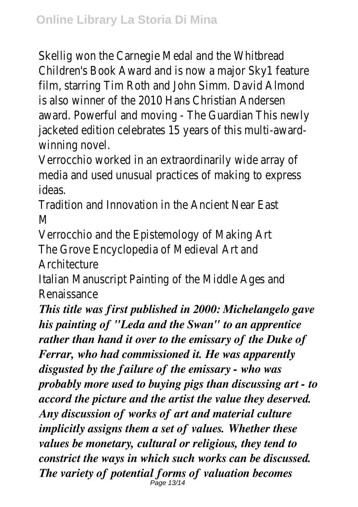Skellig won the Carnegie Medal and the Whitbread Children's Book Award and is now a major Sky1 feature film, starring Tim Roth and John Simm. David Almond is also winner of the 2010 Hans Christian Andersen award. Powerful and moving - The Guardian This newly jacketed edition celebrates 15 years of this multi-awardwinning novel.

Verrocchio worked in an extraordinarily wide array of media and used unusual practices of making to express ideas.

Tradition and Innovation in the Ancient Near East M

Verrocchio and the Epistemology of Making Art The Grove Encyclopedia of Medieval Art and

Architecture

Italian Manuscript Painting of the Middle Ages and **Renaissance** 

*This title was first published in 2000: Michelangelo gave his painting of "Leda and the Swan" to an apprentice rather than hand it over to the emissary of the Duke of Ferrar, who had commissioned it. He was apparently disgusted by the failure of the emissary - who was probably more used to buying pigs than discussing art - to accord the picture and the artist the value they deserved. Any discussion of works of art and material culture implicitly assigns them a set of values. Whether these values be monetary, cultural or religious, they tend to constrict the ways in which such works can be discussed. The variety of potential forms of valuation becomes* Page 13/14